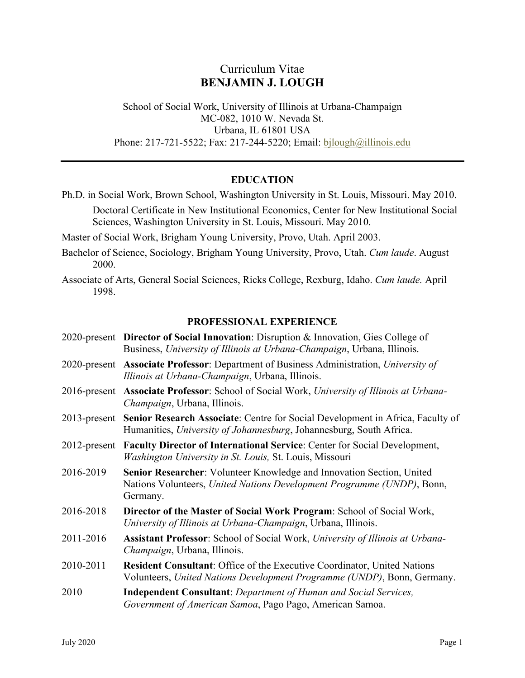# Curriculum Vitae **BENJAMIN J. LOUGH**

School of Social Work, University of Illinois at Urbana-Champaign MC-082, 1010 W. Nevada St. Urbana, IL 61801 USA Phone: 217-721-5522; Fax: 217-244-5220; Email: [bjlough@illinois.edu](mailto:bjlough@illinois.edu)

## **EDUCATION**

- Ph.D. in Social Work, Brown School, Washington University in St. Louis, Missouri. May 2010. Doctoral Certificate in New Institutional Economics, Center for New Institutional Social Sciences, Washington University in St. Louis, Missouri. May 2010.
- Master of Social Work, Brigham Young University, Provo, Utah. April 2003.
- Bachelor of Science, Sociology, Brigham Young University, Provo, Utah. *Cum laude*. August 2000.
- Associate of Arts, General Social Sciences, Ricks College, Rexburg, Idaho. *Cum laude.* April 1998.

#### **PROFESSIONAL EXPERIENCE**

|              | 2020-present Director of Social Innovation: Disruption & Innovation, Gies College of<br>Business, University of Illinois at Urbana-Champaign, Urbana, Illinois.    |
|--------------|--------------------------------------------------------------------------------------------------------------------------------------------------------------------|
|              | 2020-present Associate Professor: Department of Business Administration, University of<br>Illinois at Urbana-Champaign, Urbana, Illinois.                          |
|              | 2016-present Associate Professor: School of Social Work, University of Illinois at Urbana-<br>Champaign, Urbana, Illinois.                                         |
|              | 2013-present Senior Research Associate: Centre for Social Development in Africa, Faculty of<br>Humanities, University of Johannesburg, Johannesburg, South Africa. |
| 2012-present | Faculty Director of International Service: Center for Social Development,<br>Washington University in St. Louis, St. Louis, Missouri                               |
| 2016-2019    | Senior Researcher: Volunteer Knowledge and Innovation Section, United<br>Nations Volunteers, United Nations Development Programme (UNDP), Bonn,<br>Germany.        |
| 2016-2018    | Director of the Master of Social Work Program: School of Social Work,<br>University of Illinois at Urbana-Champaign, Urbana, Illinois.                             |
| 2011-2016    | <b>Assistant Professor:</b> School of Social Work, University of Illinois at Urbana-<br>Champaign, Urbana, Illinois.                                               |
| 2010-2011    | <b>Resident Consultant:</b> Office of the Executive Coordinator, United Nations<br>Volunteers, United Nations Development Programme (UNDP), Bonn, Germany.         |
| 2010         | <b>Independent Consultant:</b> Department of Human and Social Services,<br>Government of American Samoa, Pago Pago, American Samoa.                                |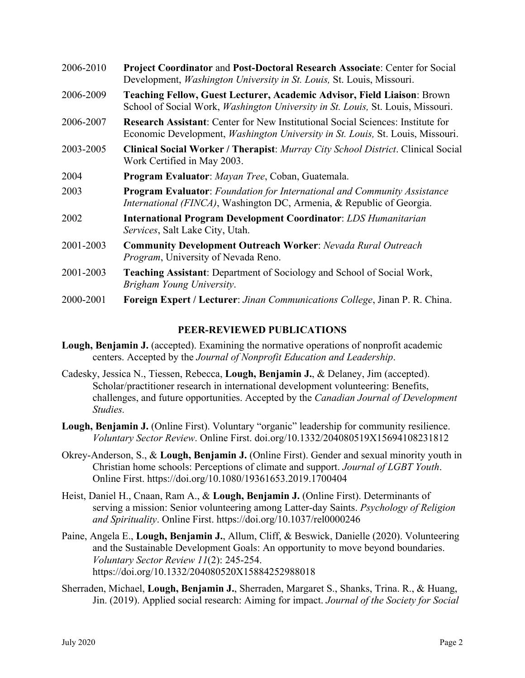| 2006-2010 | <b>Project Coordinator and Post-Doctoral Research Associate: Center for Social</b><br>Development, Washington University in St. Louis, St. Louis, Missouri.                      |
|-----------|----------------------------------------------------------------------------------------------------------------------------------------------------------------------------------|
| 2006-2009 | Teaching Fellow, Guest Lecturer, Academic Advisor, Field Liaison: Brown<br>School of Social Work, <i>Washington University in St. Louis</i> , St. Louis, Missouri.               |
| 2006-2007 | <b>Research Assistant:</b> Center for New Institutional Social Sciences: Institute for<br>Economic Development, <i>Washington University in St. Louis</i> , St. Louis, Missouri. |
| 2003-2005 | <b>Clinical Social Worker / Therapist: Murray City School District. Clinical Social</b><br>Work Certified in May 2003.                                                           |
| 2004      | Program Evaluator: Mayan Tree, Coban, Guatemala.                                                                                                                                 |
| 2003      | <b>Program Evaluator:</b> Foundation for International and Community Assistance<br><i>International (FINCA)</i> , Washington DC, Armenia, & Republic of Georgia.                 |
| 2002      | <b>International Program Development Coordinator: LDS Humanitarian</b><br>Services, Salt Lake City, Utah.                                                                        |
| 2001-2003 | <b>Community Development Outreach Worker: Nevada Rural Outreach</b><br>Program, University of Nevada Reno.                                                                       |
| 2001-2003 | <b>Teaching Assistant:</b> Department of Sociology and School of Social Work,<br>Brigham Young University.                                                                       |

2000-2001 **Foreign Expert / Lecturer**: *Jinan Communications College*, Jinan P. R. China.

## **PEER-REVIEWED PUBLICATIONS**

- **Lough, Benjamin J.** (accepted). Examining the normative operations of nonprofit academic centers. Accepted by the *Journal of Nonprofit Education and Leadership*.
- Cadesky, Jessica N., Tiessen, Rebecca, **Lough, Benjamin J.**, & Delaney, Jim (accepted). Scholar/practitioner research in international development volunteering: Benefits, challenges, and future opportunities. Accepted by the *Canadian Journal of Development Studies.*
- Lough, Benjamin J. (Online First). Voluntary "organic" leadership for community resilience. *Voluntary Sector Review*. Online First. doi.org/10.1332/204080519X15694108231812
- Okrey-Anderson, S., & **Lough, Benjamin J.** (Online First). Gender and sexual minority youth in Christian home schools: Perceptions of climate and support. *Journal of LGBT Youth*. Online First. https://doi.org/10.1080/19361653.2019.1700404
- Heist, Daniel H., Cnaan, Ram A., & **Lough, Benjamin J.** (Online First). Determinants of serving a mission: Senior volunteering among Latter-day Saints. *Psychology of Religion and Spirituality*. Online First. https://doi.org/10.1037/rel0000246
- Paine, Angela E., **Lough, Benjamin J.**, Allum, Cliff, & Beswick, Danielle (2020). Volunteering and the Sustainable Development Goals: An opportunity to move beyond boundaries. *Voluntary Sector Review 11*(2): 245-254. https://doi.org/10.1332/204080520X15884252988018
- Sherraden, Michael, **Lough, Benjamin J.**, Sherraden, Margaret S., Shanks, Trina. R., & Huang, Jin. (2019). Applied social research: Aiming for impact. *Journal of the Society for Social*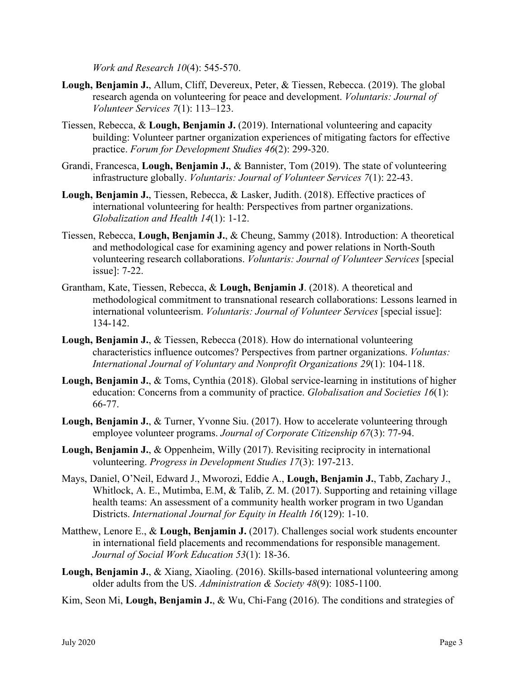*Work and Research 10*(4): 545-570.

- **Lough, Benjamin J.**, Allum, Cliff, Devereux, Peter, & Tiessen, Rebecca. (2019). The global research agenda on volunteering for peace and development. *Voluntaris: Journal of Volunteer Services 7*(1): 113–123.
- Tiessen, Rebecca, & **Lough, Benjamin J.** (2019). International volunteering and capacity building: Volunteer partner organization experiences of mitigating factors for effective practice. *Forum for Development Studies 46*(2): 299-320.
- Grandi, Francesca, **Lough, Benjamin J.**, & Bannister, Tom (2019). The state of volunteering infrastructure globally. *Voluntaris: Journal of Volunteer Services 7*(1): 22-43.
- **Lough, Benjamin J.**, Tiessen, Rebecca, & Lasker, Judith. (2018). Effective practices of international volunteering for health: Perspectives from partner organizations. *Globalization and Health 14*(1): 1-12.
- Tiessen, Rebecca, **Lough, Benjamin J.**, & Cheung, Sammy (2018). Introduction: A theoretical and methodological case for examining agency and power relations in North-South volunteering research collaborations. *Voluntaris: Journal of Volunteer Services* [special issue]: 7-22.
- Grantham, Kate, Tiessen, Rebecca, & **Lough, Benjamin J**. (2018). A theoretical and methodological commitment to transnational research collaborations: Lessons learned in international volunteerism. *Voluntaris: Journal of Volunteer Services* [special issue]: 134-142.
- **Lough, Benjamin J.**, & Tiessen, Rebecca (2018). How do international volunteering characteristics influence outcomes? Perspectives from partner organizations. *Voluntas: International Journal of Voluntary and Nonprofit Organizations 29*(1): 104-118.
- **Lough, Benjamin J.**, & Toms, Cynthia (2018). Global service-learning in institutions of higher education: Concerns from a community of practice. *Globalisation and Societies 16*(1): 66-77.
- Lough, Benjamin J., & Turner, Yvonne Siu. (2017). How to accelerate volunteering through employee volunteer programs. *Journal of Corporate Citizenship 67*(3): 77-94.
- **Lough, Benjamin J.**, & Oppenheim, Willy (2017). Revisiting reciprocity in international volunteering. *Progress in Development Studies 17*(3): 197-213.
- Mays, Daniel, O'Neil, Edward J., Mworozi, Eddie A., **Lough, Benjamin J.**, Tabb, Zachary J., Whitlock, A. E., Mutimba, E.M, & Talib, Z. M. (2017). Supporting and retaining village health teams: An assessment of a community health worker program in two Ugandan Districts. *International Journal for Equity in Health 16*(129): 1-10.
- Matthew, Lenore E., & **Lough, Benjamin J.** (2017). Challenges social work students encounter in international field placements and recommendations for responsible management. *Journal of Social Work Education 53*(1): 18-36.
- **Lough, Benjamin J.**, & Xiang, Xiaoling. (2016). Skills-based international volunteering among older adults from the US. *Administration & Society 48*(9): 1085-1100.
- Kim, Seon Mi, **Lough, Benjamin J.**, & Wu, Chi-Fang (2016). The conditions and strategies of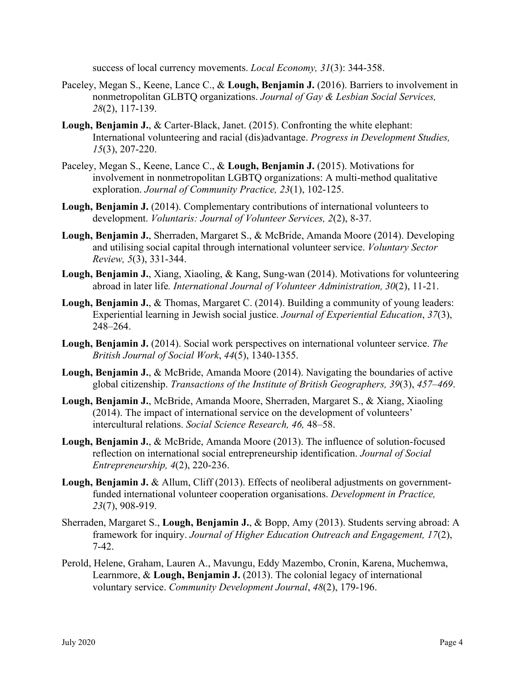success of local currency movements. *Local Economy, 31*(3): 344-358.

- Paceley, Megan S., Keene, Lance C., & **Lough, Benjamin J.** (2016). Barriers to involvement in nonmetropolitan GLBTQ organizations. *Journal of Gay & Lesbian Social Services, 28*(2), 117-139.
- **Lough, Benjamin J.**, & Carter-Black, Janet. (2015). Confronting the white elephant: International volunteering and racial (dis)advantage. *Progress in Development Studies, 15*(3), 207-220.
- Paceley, Megan S., Keene, Lance C., & **Lough, Benjamin J.** (2015). Motivations for involvement in nonmetropolitan LGBTQ organizations: A multi-method qualitative exploration. *Journal of Community Practice, 23*(1), 102-125.
- **Lough, Benjamin J.** (2014). Complementary contributions of international volunteers to development. *Voluntaris: Journal of Volunteer Services, 2*(2), 8-37.
- **Lough, Benjamin J.**, Sherraden, Margaret S., & McBride, Amanda Moore (2014). Developing and utilising social capital through international volunteer service. *Voluntary Sector Review, 5*(3), 331-344.
- **Lough, Benjamin J.**, Xiang, Xiaoling, & Kang, Sung-wan (2014). Motivations for volunteering abroad in later life*. International Journal of Volunteer Administration, 30*(2), 11-21.
- **Lough, Benjamin J.**, & Thomas, Margaret C. (2014). Building a community of young leaders: Experiential learning in Jewish social justice. *Journal of Experiential Education*, *37*(3), 248–264.
- **Lough, Benjamin J.** (2014). Social work perspectives on international volunteer service. *The British Journal of Social Work*, *44*(5), 1340-1355.
- **Lough, Benjamin J.**, & McBride, Amanda Moore (2014). Navigating the boundaries of active global citizenship. *Transactions of the Institute of British Geographers, 39*(3), *457–469*.
- **Lough, Benjamin J.**, McBride, Amanda Moore, Sherraden, Margaret S., & Xiang, Xiaoling (2014). The impact of international service on the development of volunteers' intercultural relations. *Social Science Research, 46,* 48–58.
- **Lough, Benjamin J.**, & McBride, Amanda Moore (2013). The influence of solution-focused reflection on international social entrepreneurship identification. *Journal of Social Entrepreneurship, 4*(2), 220-236.
- **Lough, Benjamin J.** & Allum, Cliff (2013). Effects of neoliberal adjustments on governmentfunded international volunteer cooperation organisations. *Development in Practice, 23*(7), 908-919.
- Sherraden, Margaret S., **Lough, Benjamin J.**, & Bopp, Amy (2013). Students serving abroad: A framework for inquiry. *Journal of Higher Education Outreach and Engagement, 17*(2), 7-42.
- Perold, Helene, Graham, Lauren A., Mavungu, Eddy Mazembo, Cronin, Karena, Muchemwa, Learnmore, & **Lough, Benjamin J.** (2013). The colonial legacy of international voluntary service. *Community Development Journal*, *48*(2), 179-196.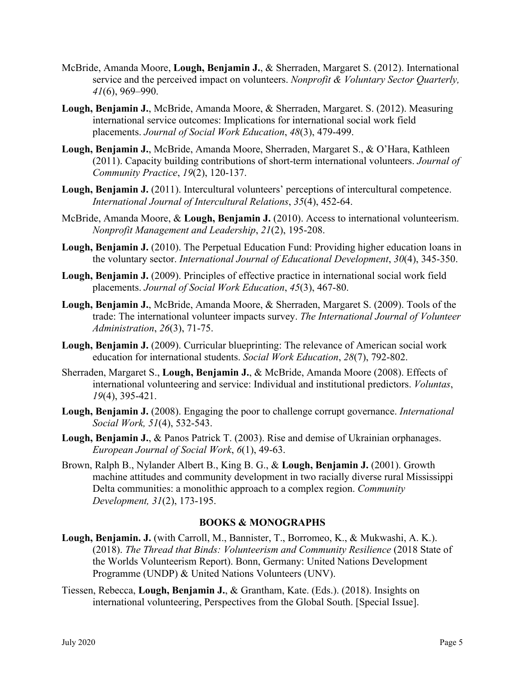- McBride, Amanda Moore, **Lough, Benjamin J.**, & Sherraden, Margaret S. (2012). International service and the perceived impact on volunteers. *Nonprofit & Voluntary Sector Quarterly, 41*(6), 969–990.
- **Lough, Benjamin J.**, McBride, Amanda Moore, & Sherraden, Margaret. S. (2012). Measuring international service outcomes: Implications for international social work field placements. *Journal of Social Work Education*, *48*(3), 479-499.
- **Lough, Benjamin J.**, McBride, Amanda Moore, Sherraden, Margaret S., & O'Hara, Kathleen (2011). Capacity building contributions of short-term international volunteers. *Journal of Community Practice*, *19*(2), 120-137.
- **Lough, Benjamin J.** (2011). Intercultural volunteers' perceptions of intercultural competence. *International Journal of Intercultural Relations*, *35*(4), 452-64.
- McBride, Amanda Moore, & **Lough, Benjamin J.** (2010). Access to international volunteerism. *Nonprofit Management and Leadership*, *21*(2), 195-208.
- **Lough, Benjamin J.** (2010). The Perpetual Education Fund: Providing higher education loans in the voluntary sector. *International Journal of Educational Development*, *30*(4), 345-350.
- **Lough, Benjamin J.** (2009). Principles of effective practice in international social work field placements. *Journal of Social Work Education*, *45*(3), 467-80.
- **Lough, Benjamin J.**, McBride, Amanda Moore, & Sherraden, Margaret S. (2009). Tools of the trade: The international volunteer impacts survey. *The International Journal of Volunteer Administration*, *26*(3), 71-75.
- **Lough, Benjamin J.** (2009). Curricular blueprinting: The relevance of American social work education for international students. *Social Work Education*, *28*(7), 792-802.
- Sherraden, Margaret S., **Lough, Benjamin J.**, & McBride, Amanda Moore (2008). Effects of international volunteering and service: Individual and institutional predictors. *Voluntas*, *19*(4), 395-421.
- **Lough, Benjamin J.** (2008). Engaging the poor to challenge corrupt governance. *International Social Work, 51*(4), 532-543.
- **Lough, Benjamin J.**, & Panos Patrick T. (2003). Rise and demise of Ukrainian orphanages. *European Journal of Social Work*, *6*(1), 49-63.
- Brown, Ralph B., Nylander Albert B., King B. G., & **Lough, Benjamin J.** (2001). Growth machine attitudes and community development in two racially diverse rural Mississippi Delta communities: a monolithic approach to a complex region. *Community Development, 31*(2), 173-195.

## **BOOKS & MONOGRAPHS**

- **Lough, Benjamin. J.** (with Carroll, M., Bannister, T., Borromeo, K., & Mukwashi, A. K.). (2018). *The Thread that Binds: Volunteerism and Community Resilience* (2018 State of the Worlds Volunteerism Report). Bonn, Germany: United Nations Development Programme (UNDP) & United Nations Volunteers (UNV).
- Tiessen, Rebecca, **Lough, Benjamin J.**, & Grantham, Kate. (Eds.). (2018). Insights on international volunteering, Perspectives from the Global South. [Special Issue].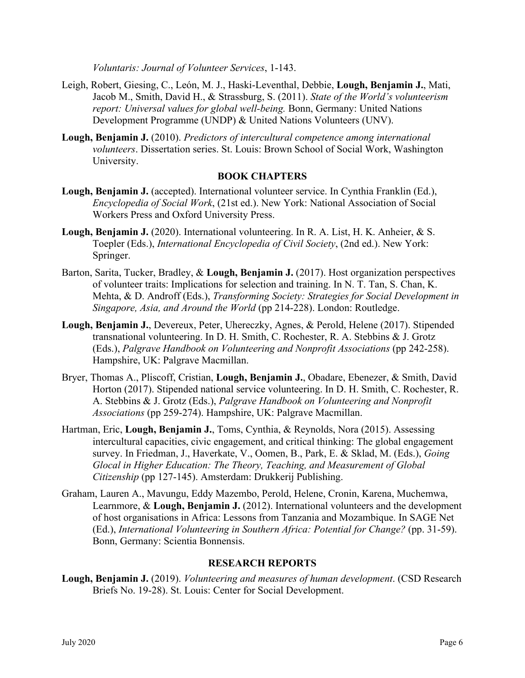*Voluntaris: Journal of Volunteer Services*, 1-143.

- Leigh, Robert, Giesing, C., León, M. J., Haski-Leventhal, Debbie, **Lough, Benjamin J.**, Mati, Jacob M., Smith, David H., & Strassburg, S. (2011). *State of the World's volunteerism report: Universal values for global well-being.* Bonn, Germany: United Nations Development Programme (UNDP) & United Nations Volunteers (UNV).
- **Lough, Benjamin J.** (2010). *Predictors of intercultural competence among international volunteers*. Dissertation series. St. Louis: Brown School of Social Work, Washington University.

## **BOOK CHAPTERS**

- **Lough, Benjamin J.** (accepted). International volunteer service. In Cynthia Franklin (Ed.), *Encyclopedia of Social Work*, (21st ed.). New York: National Association of Social Workers Press and Oxford University Press.
- **Lough, Benjamin J.** (2020). International volunteering. In R. A. List, H. K. Anheier, & S. Toepler (Eds.), *International Encyclopedia of Civil Society*, (2nd ed.). New York: Springer.
- Barton, Sarita, Tucker, Bradley, & **Lough, Benjamin J.** (2017). Host organization perspectives of volunteer traits: Implications for selection and training. In N. T. Tan, S. Chan, K. Mehta, & D. Androff (Eds.), *Transforming Society: Strategies for Social Development in Singapore, Asia, and Around the World* (pp 214-228). London: Routledge.
- **Lough, Benjamin J.**, Devereux, Peter, Uhereczky, Agnes, & Perold, Helene (2017). Stipended transnational volunteering. In D. H. Smith, C. Rochester, R. A. Stebbins & J. Grotz (Eds.), *Palgrave Handbook on Volunteering and Nonprofit Associations* (pp 242-258). Hampshire, UK: Palgrave Macmillan.
- Bryer, Thomas A., Pliscoff, Cristian, **Lough, Benjamin J.**, Obadare, Ebenezer, & Smith, David Horton (2017). Stipended national service volunteering. In D. H. Smith, C. Rochester, R. A. Stebbins & J. Grotz (Eds.), *Palgrave Handbook on Volunteering and Nonprofit Associations* (pp 259-274). Hampshire, UK: Palgrave Macmillan.
- Hartman, Eric, **Lough, Benjamin J.**, Toms, Cynthia, & Reynolds, Nora (2015). Assessing intercultural capacities, civic engagement, and critical thinking: The global engagement survey. In Friedman, J., Haverkate, V., Oomen, B., Park, E. & Sklad, M. (Eds.), *Going Glocal in Higher Education: The Theory, Teaching, and Measurement of Global Citizenship* (pp 127-145). Amsterdam: Drukkerij Publishing.
- Graham, Lauren A., Mavungu, Eddy Mazembo, Perold, Helene, Cronin, Karena, Muchemwa, Learnmore, & **Lough, Benjamin J.** (2012). International volunteers and the development of host organisations in Africa: Lessons from Tanzania and Mozambique. In SAGE Net (Ed.), *International Volunteering in Southern Africa: Potential for Change?* (pp. 31-59). Bonn, Germany: Scientia Bonnensis.

## **RESEARCH REPORTS**

**Lough, Benjamin J.** (2019). *Volunteering and measures of human development*. (CSD Research Briefs No. 19-28). St. Louis: Center for Social Development.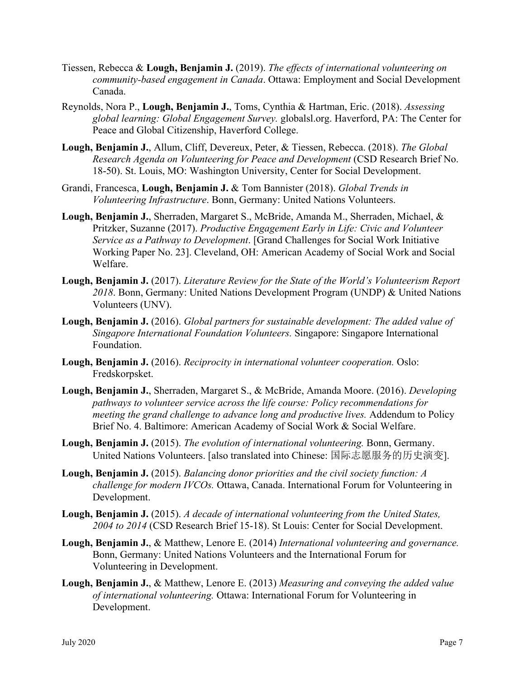- Tiessen, Rebecca & **Lough, Benjamin J.** (2019). *The effects of international volunteering on community-based engagement in Canada*. Ottawa: Employment and Social Development Canada.
- Reynolds, Nora P., **Lough, Benjamin J.**, Toms, Cynthia & Hartman, Eric. (2018). *Assessing global learning: Global Engagement Survey.* globalsl.org. Haverford, PA: The Center for Peace and Global Citizenship, Haverford College.
- **Lough, Benjamin J.**, Allum, Cliff, Devereux, Peter, & Tiessen, Rebecca. (2018). *The Global Research Agenda on Volunteering for Peace and Development* (CSD Research Brief No. 18-50). St. Louis, MO: Washington University, Center for Social Development.
- Grandi, Francesca, **Lough, Benjamin J.** & Tom Bannister (2018). *Global Trends in Volunteering Infrastructure*. Bonn, Germany: United Nations Volunteers.
- **Lough, Benjamin J.**, Sherraden, Margaret S., McBride, Amanda M., Sherraden, Michael, & Pritzker, Suzanne (2017). *Productive Engagement Early in Life: Civic and Volunteer Service as a Pathway to Development*. [Grand Challenges for Social Work Initiative Working Paper No. 23]. Cleveland, OH: American Academy of Social Work and Social Welfare.
- **Lough, Benjamin J.** (2017). *Literature Review for the State of the World's Volunteerism Report 2018*. Bonn, Germany: United Nations Development Program (UNDP) & United Nations Volunteers (UNV).
- **Lough, Benjamin J.** (2016). *Global partners for sustainable development: The added value of Singapore International Foundation Volunteers.* Singapore: Singapore International Foundation.
- **Lough, Benjamin J.** (2016). *Reciprocity in international volunteer cooperation.* Oslo: Fredskorpsket.
- **Lough, Benjamin J.**, Sherraden, Margaret S., & McBride, Amanda Moore. (2016). *Developing pathways to volunteer service across the life course: Policy recommendations for meeting the grand challenge to advance long and productive lives.* Addendum to Policy Brief No. 4. Baltimore: American Academy of Social Work & Social Welfare.
- **Lough, Benjamin J.** (2015). *The evolution of international volunteering.* Bonn, Germany. United Nations Volunteers. [also translated into Chinese: 国际志愿服务的历史演变].
- **Lough, Benjamin J.** (2015). *Balancing donor priorities and the civil society function: A challenge for modern IVCOs.* Ottawa, Canada. International Forum for Volunteering in Development.
- **Lough, Benjamin J.** (2015). *A decade of international volunteering from the United States, 2004 to 2014* (CSD Research Brief 15-18). St Louis: Center for Social Development.
- **Lough, Benjamin J.**, & Matthew, Lenore E. (2014) *International volunteering and governance.*  Bonn, Germany: United Nations Volunteers and the International Forum for Volunteering in Development.
- **Lough, Benjamin J.**, & Matthew, Lenore E. (2013) *Measuring and conveying the added value of international volunteering.* Ottawa: International Forum for Volunteering in Development.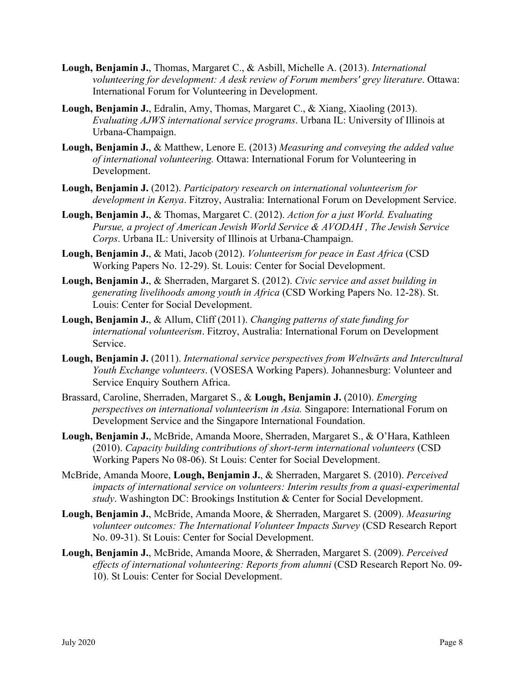- **Lough, Benjamin J.**, Thomas, Margaret C., & Asbill, Michelle A. (2013). *International volunteering for development: A desk review of Forum members' grey literature*. Ottawa: International Forum for Volunteering in Development.
- **Lough, Benjamin J.**, Edralin, Amy, Thomas, Margaret C., & Xiang, Xiaoling (2013). *Evaluating AJWS international service programs*. Urbana IL: University of Illinois at Urbana-Champaign.
- **Lough, Benjamin J.**, & Matthew, Lenore E. (2013) *Measuring and conveying the added value of international volunteering.* Ottawa: International Forum for Volunteering in Development.
- **Lough, Benjamin J.** (2012). *Participatory research on international volunteerism for development in Kenya*. Fitzroy, Australia: International Forum on Development Service.
- **Lough, Benjamin J.**, & Thomas, Margaret C. (2012). *Action for a just World. Evaluating Pursue, a project of American Jewish World Service & AVODAH , The Jewish Service Corps*. Urbana IL: University of Illinois at Urbana-Champaign.
- **Lough, Benjamin J.**, & Mati, Jacob (2012). *Volunteerism for peace in East Africa* (CSD Working Papers No. 12-29). St. Louis: Center for Social Development.
- **Lough, Benjamin J.**, & Sherraden, Margaret S. (2012). *Civic service and asset building in generating livelihoods among youth in Africa* (CSD Working Papers No. 12-28). St. Louis: Center for Social Development.
- **Lough, Benjamin J.**, & Allum, Cliff (2011). *Changing patterns of state funding for international volunteerism*. Fitzroy, Australia: International Forum on Development Service.
- **Lough, Benjamin J.** (2011). *International service perspectives from Weltwärts and Intercultural Youth Exchange volunteers*. (VOSESA Working Papers). Johannesburg: Volunteer and Service Enquiry Southern Africa.
- Brassard, Caroline, Sherraden, Margaret S., & **Lough, Benjamin J.** (2010). *Emerging perspectives on international volunteerism in Asia.* Singapore: International Forum on Development Service and the Singapore International Foundation.
- **Lough, Benjamin J.**, McBride, Amanda Moore, Sherraden, Margaret S., & O'Hara, Kathleen (2010). *Capacity building contributions of short-term international volunteers* (CSD Working Papers No 08-06). St Louis: Center for Social Development.
- McBride, Amanda Moore, **Lough, Benjamin J.**, & Sherraden, Margaret S. (2010). *Perceived impacts of international service on volunteers: Interim results from a quasi-experimental study*. Washington DC: Brookings Institution & Center for Social Development.
- **Lough, Benjamin J.**, McBride, Amanda Moore, & Sherraden, Margaret S. (2009). *Measuring volunteer outcomes: The International Volunteer Impacts Survey* (CSD Research Report No. 09-31). St Louis: Center for Social Development.
- **Lough, Benjamin J.**, McBride, Amanda Moore, & Sherraden, Margaret S. (2009). *Perceived effects of international volunteering: Reports from alumni* (CSD Research Report No. 09- 10). St Louis: Center for Social Development.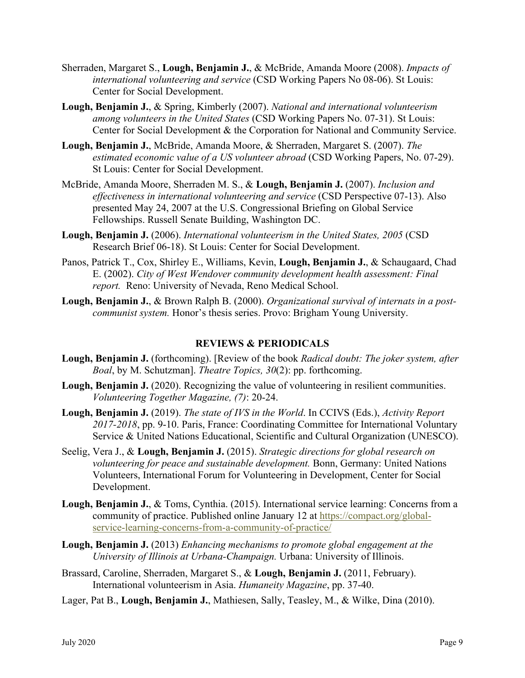- Sherraden, Margaret S., **Lough, Benjamin J.**, & McBride, Amanda Moore (2008). *Impacts of international volunteering and service* (CSD Working Papers No 08-06). St Louis: Center for Social Development.
- **Lough, Benjamin J.**, & Spring, Kimberly (2007). *National and international volunteerism among volunteers in the United States* (CSD Working Papers No. 07-31). St Louis: Center for Social Development & the Corporation for National and Community Service.
- **Lough, Benjamin J.**, McBride, Amanda Moore, & Sherraden, Margaret S. (2007). *The estimated economic value of a US volunteer abroad* (CSD Working Papers, No. 07-29). St Louis: Center for Social Development.
- McBride, Amanda Moore, Sherraden M. S., & **Lough, Benjamin J.** (2007). *Inclusion and effectiveness in international volunteering and service* (CSD Perspective 07-13). Also presented May 24, 2007 at the U.S. Congressional Briefing on Global Service Fellowships. Russell Senate Building, Washington DC.
- **Lough, Benjamin J.** (2006). *International volunteerism in the United States, 2005* (CSD Research Brief 06-18). St Louis: Center for Social Development.
- Panos, Patrick T., Cox, Shirley E., Williams, Kevin, **Lough, Benjamin J.**, & Schaugaard, Chad E. (2002). *City of West Wendover community development health assessment: Final report.* Reno: University of Nevada, Reno Medical School.
- **Lough, Benjamin J.**, & Brown Ralph B. (2000). *Organizational survival of internats in a postcommunist system.* Honor's thesis series. Provo: Brigham Young University.

## **REVIEWS & PERIODICALS**

- **Lough, Benjamin J.** (forthcoming). [Review of the book *Radical doubt: The joker system, after Boal*, by M. Schutzman]. *Theatre Topics, 30*(2): pp. forthcoming.
- **Lough, Benjamin J.** (2020). Recognizing the value of volunteering in resilient communities. *Volunteering Together Magazine, (7)*: 20-24.
- **Lough, Benjamin J.** (2019). *The state of IVS in the World*. In CCIVS (Eds.), *Activity Report 2017-2018*, pp. 9-10. Paris, France: Coordinating Committee for International Voluntary Service & United Nations Educational, Scientific and Cultural Organization (UNESCO).
- Seelig, Vera J., & **Lough, Benjamin J.** (2015). *Strategic directions for global research on volunteering for peace and sustainable development.* Bonn, Germany: United Nations Volunteers, International Forum for Volunteering in Development, Center for Social Development.
- **Lough, Benjamin J.**, & Toms, Cynthia. (2015). International service learning: Concerns from a community of practice. Published online January 12 at [https://compact.org/global](https://compact.org/global-service-learning-concerns-from-a-community-of-practice/)[service-learning-concerns-from-a-community-of-practice/](https://compact.org/global-service-learning-concerns-from-a-community-of-practice/)
- **Lough, Benjamin J.** (2013) *Enhancing mechanisms to promote global engagement at the University of Illinois at Urbana-Champaign.* Urbana: University of Illinois.
- Brassard, Caroline, Sherraden, Margaret S., & **Lough, Benjamin J.** (2011, February). International volunteerism in Asia. *Humaneity Magazine*, pp. 37-40.
- Lager, Pat B., **Lough, Benjamin J.**, Mathiesen, Sally, Teasley, M., & Wilke, Dina (2010).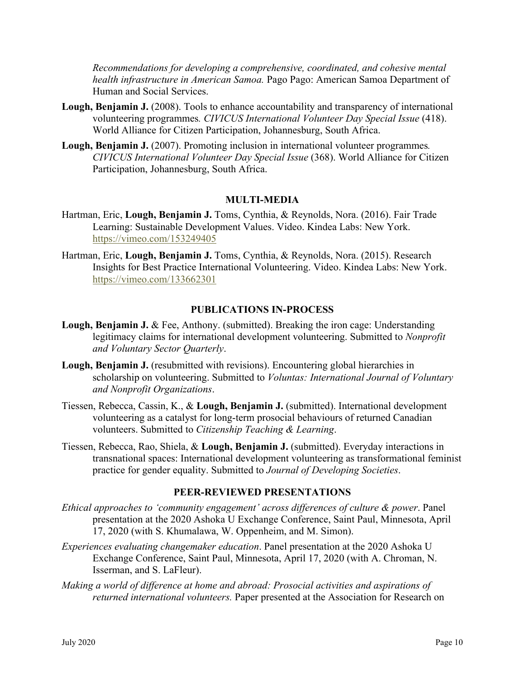*Recommendations for developing a comprehensive, coordinated, and cohesive mental health infrastructure in American Samoa.* Pago Pago: American Samoa Department of Human and Social Services.

- **Lough, Benjamin J.** (2008). Tools to enhance accountability and transparency of international volunteering programmes*. CIVICUS International Volunteer Day Special Issue* (418). World Alliance for Citizen Participation, Johannesburg, South Africa.
- **Lough, Benjamin J.** (2007). Promoting inclusion in international volunteer programmes*. CIVICUS International Volunteer Day Special Issue* (368). World Alliance for Citizen Participation, Johannesburg, South Africa.

#### **MULTI-MEDIA**

- Hartman, Eric, **Lough, Benjamin J.** Toms, Cynthia, & Reynolds, Nora. (2016). Fair Trade Learning: Sustainable Development Values. Video. Kindea Labs: New York. <https://vimeo.com/153249405>
- Hartman, Eric, **Lough, Benjamin J.** Toms, Cynthia, & Reynolds, Nora. (2015). Research Insights for Best Practice International Volunteering. Video. Kindea Labs: New York. <https://vimeo.com/133662301>

#### **PUBLICATIONS IN-PROCESS**

- **Lough, Benjamin J.** & Fee, Anthony. (submitted). Breaking the iron cage: Understanding legitimacy claims for international development volunteering. Submitted to *Nonprofit and Voluntary Sector Quarterly*.
- **Lough, Benjamin J.** (resubmitted with revisions). Encountering global hierarchies in scholarship on volunteering. Submitted to *Voluntas: International Journal of Voluntary and Nonprofit Organizations*.
- Tiessen, Rebecca, Cassin, K., & **Lough, Benjamin J.** (submitted). International development volunteering as a catalyst for long-term prosocial behaviours of returned Canadian volunteers. Submitted to *Citizenship Teaching & Learning*.
- Tiessen, Rebecca, Rao, Shiela, & **Lough, Benjamin J.** (submitted). Everyday interactions in transnational spaces: International development volunteering as transformational feminist practice for gender equality. Submitted to *Journal of Developing Societies*.

#### **PEER-REVIEWED PRESENTATIONS**

- *Ethical approaches to 'community engagement' across differences of culture & power*. Panel presentation at the 2020 Ashoka U Exchange Conference, Saint Paul, Minnesota, April 17, 2020 (with S. Khumalawa, W. Oppenheim, and M. Simon).
- *Experiences evaluating changemaker education*. Panel presentation at the 2020 Ashoka U Exchange Conference, Saint Paul, Minnesota, April 17, 2020 (with A. Chroman, N. Isserman, and S. LaFleur).
- *Making a world of difference at home and abroad: Prosocial activities and aspirations of returned international volunteers.* Paper presented at the Association for Research on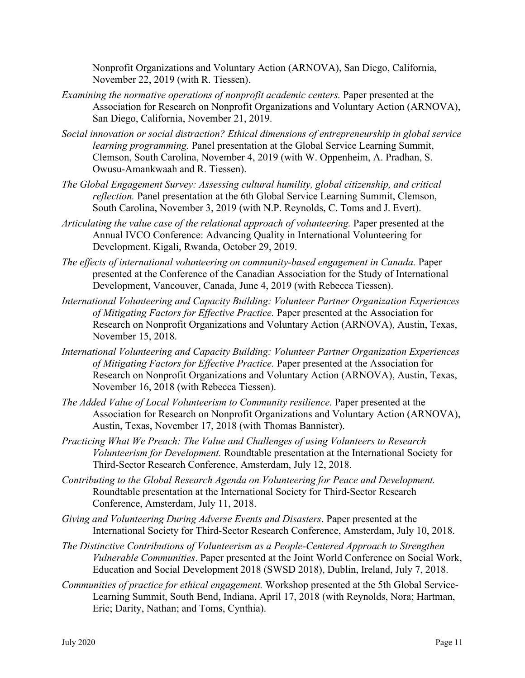Nonprofit Organizations and Voluntary Action (ARNOVA), San Diego, California, November 22, 2019 (with R. Tiessen).

- *Examining the normative operations of nonprofit academic centers.* Paper presented at the Association for Research on Nonprofit Organizations and Voluntary Action (ARNOVA), San Diego, California, November 21, 2019.
- *Social innovation or social distraction? Ethical dimensions of entrepreneurship in global service learning programming.* Panel presentation at the Global Service Learning Summit, Clemson, South Carolina, November 4, 2019 (with W. Oppenheim, A. Pradhan, S. Owusu-Amankwaah and R. Tiessen).
- *The Global Engagement Survey: Assessing cultural humility, global citizenship, and critical reflection.* Panel presentation at the 6th Global Service Learning Summit, Clemson, South Carolina, November 3, 2019 (with N.P. Reynolds, C. Toms and J. Evert).
- *Articulating the value case of the relational approach of volunteering.* Paper presented at the Annual IVCO Conference: Advancing Quality in International Volunteering for Development. Kigali, Rwanda, October 29, 2019.
- *The effects of international volunteering on community-based engagement in Canada.* Paper presented at the Conference of the Canadian Association for the Study of International Development, Vancouver, Canada, June 4, 2019 (with Rebecca Tiessen).
- *International Volunteering and Capacity Building: Volunteer Partner Organization Experiences of Mitigating Factors for Effective Practice.* Paper presented at the Association for Research on Nonprofit Organizations and Voluntary Action (ARNOVA), Austin, Texas, November 15, 2018.
- *International Volunteering and Capacity Building: Volunteer Partner Organization Experiences of Mitigating Factors for Effective Practice.* Paper presented at the Association for Research on Nonprofit Organizations and Voluntary Action (ARNOVA), Austin, Texas, November 16, 2018 (with Rebecca Tiessen).
- *The Added Value of Local Volunteerism to Community resilience.* Paper presented at the Association for Research on Nonprofit Organizations and Voluntary Action (ARNOVA), Austin, Texas, November 17, 2018 (with Thomas Bannister).
- *Practicing What We Preach: The Value and Challenges of using Volunteers to Research Volunteerism for Development.* Roundtable presentation at the International Society for Third-Sector Research Conference, Amsterdam, July 12, 2018.
- *Contributing to the Global Research Agenda on Volunteering for Peace and Development.*  Roundtable presentation at the International Society for Third-Sector Research Conference, Amsterdam, July 11, 2018.
- *Giving and Volunteering During Adverse Events and Disasters*. Paper presented at the International Society for Third-Sector Research Conference, Amsterdam, July 10, 2018.
- *The Distinctive Contributions of Volunteerism as a People-Centered Approach to Strengthen Vulnerable Communities*. Paper presented at the Joint World Conference on Social Work, Education and Social Development 2018 (SWSD 2018), Dublin, Ireland, July 7, 2018.
- *Communities of practice for ethical engagement.* Workshop presented at the 5th Global Service-Learning Summit, South Bend, Indiana, April 17, 2018 (with Reynolds, Nora; Hartman, Eric; Darity, Nathan; and Toms, Cynthia).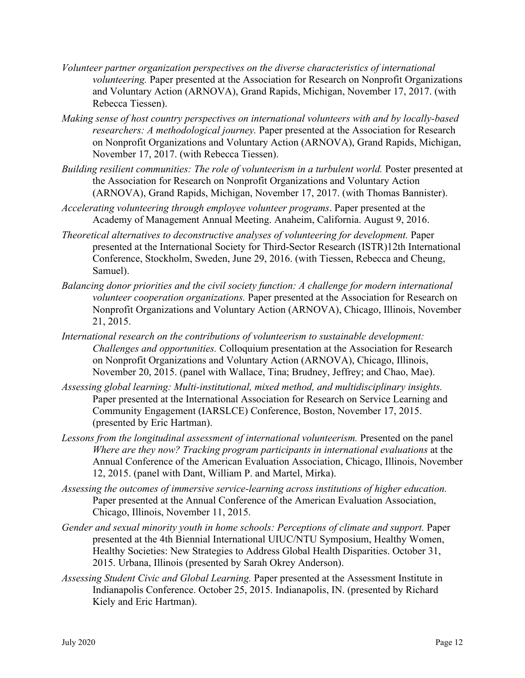- *Volunteer partner organization perspectives on the diverse characteristics of international volunteering.* Paper presented at the Association for Research on Nonprofit Organizations and Voluntary Action (ARNOVA), Grand Rapids, Michigan, November 17, 2017. (with Rebecca Tiessen).
- *Making sense of host country perspectives on international volunteers with and by locally-based researchers: A methodological journey.* Paper presented at the Association for Research on Nonprofit Organizations and Voluntary Action (ARNOVA), Grand Rapids, Michigan, November 17, 2017. (with Rebecca Tiessen).
- *Building resilient communities: The role of volunteerism in a turbulent world.* Poster presented at the Association for Research on Nonprofit Organizations and Voluntary Action (ARNOVA), Grand Rapids, Michigan, November 17, 2017. (with Thomas Bannister).
- *Accelerating volunteering through employee volunteer programs*. Paper presented at the Academy of Management Annual Meeting. Anaheim, California. August 9, 2016.
- *Theoretical alternatives to deconstructive analyses of volunteering for development.* Paper presented at the International Society for Third-Sector Research (ISTR)12th International Conference, Stockholm, Sweden, June 29, 2016. (with Tiessen, Rebecca and Cheung, Samuel).
- *Balancing donor priorities and the civil society function: A challenge for modern international volunteer cooperation organizations.* Paper presented at the Association for Research on Nonprofit Organizations and Voluntary Action (ARNOVA), Chicago, Illinois, November 21, 2015.
- *International research on the contributions of volunteerism to sustainable development: Challenges and opportunities.* Colloquium presentation at the Association for Research on Nonprofit Organizations and Voluntary Action (ARNOVA), Chicago, Illinois, November 20, 2015. (panel with Wallace, Tina; Brudney, Jeffrey; and Chao, Mae).
- *Assessing global learning: Multi-institutional, mixed method, and multidisciplinary insights.* Paper presented at the International Association for Research on Service Learning and Community Engagement (IARSLCE) Conference, Boston, November 17, 2015. (presented by Eric Hartman).
- Lessons from the longitudinal assessment of international volunteerism. Presented on the panel *Where are they now? Tracking program participants in international evaluations* at the Annual Conference of the American Evaluation Association, Chicago, Illinois, November 12, 2015. (panel with Dant, William P. and Martel, Mirka).
- *Assessing the outcomes of immersive service-learning across institutions of higher education.*  Paper presented at the Annual Conference of the American Evaluation Association, Chicago, Illinois, November 11, 2015.
- *Gender and sexual minority youth in home schools: Perceptions of climate and support. Paper* presented at the 4th Biennial International UIUC/NTU Symposium, Healthy Women, Healthy Societies: New Strategies to Address Global Health Disparities. October 31, 2015. Urbana, Illinois (presented by Sarah Okrey Anderson).
- *Assessing Student Civic and Global Learning.* Paper presented at the Assessment Institute in Indianapolis Conference. October 25, 2015. Indianapolis, IN. (presented by Richard Kiely and Eric Hartman).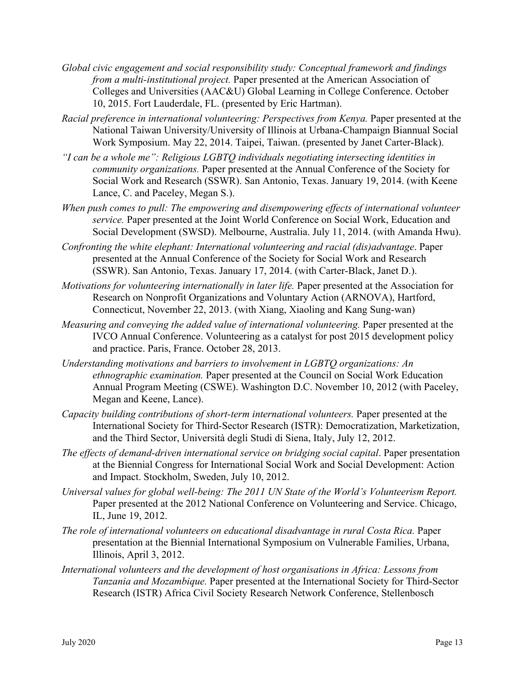- *Global civic engagement and social responsibility study: Conceptual framework and findings from a multi-institutional project.* Paper presented at the American Association of Colleges and Universities (AAC&U) Global Learning in College Conference. October 10, 2015. Fort Lauderdale, FL. (presented by Eric Hartman).
- *Racial preference in international volunteering: Perspectives from Kenya. Paper presented at the* National Taiwan University/University of Illinois at Urbana-Champaign Biannual Social Work Symposium. May 22, 2014. Taipei, Taiwan. (presented by Janet Carter-Black).
- *"I can be a whole me": Religious LGBTQ individuals negotiating intersecting identities in community organizations.* Paper presented at the Annual Conference of the Society for Social Work and Research (SSWR). San Antonio, Texas. January 19, 2014. (with Keene Lance, C. and Paceley, Megan S.).
- *When push comes to pull: The empowering and disempowering effects of international volunteer service.* Paper presented at the Joint World Conference on Social Work, Education and Social Development (SWSD). Melbourne, Australia. July 11, 2014. (with Amanda Hwu).
- *Confronting the white elephant: International volunteering and racial (dis)advantage*. Paper presented at the Annual Conference of the Society for Social Work and Research (SSWR). San Antonio, Texas. January 17, 2014. (with Carter-Black, Janet D.).
- *Motivations for volunteering internationally in later life.* Paper presented at the Association for Research on Nonprofit Organizations and Voluntary Action (ARNOVA), Hartford, Connecticut, November 22, 2013. (with Xiang, Xiaoling and Kang Sung-wan)
- *Measuring and conveying the added value of international volunteering.* Paper presented at the IVCO Annual Conference. Volunteering as a catalyst for post 2015 development policy and practice. Paris, France. October 28, 2013.
- *Understanding motivations and barriers to involvement in LGBTQ organizations: An ethnographic examination.* Paper presented at the Council on Social Work Education Annual Program Meeting (CSWE). Washington D.C. November 10, 2012 (with Paceley, Megan and Keene, Lance).
- *Capacity building contributions of short-term international volunteers.* Paper presented at the International Society for Third-Sector Research (ISTR): Democratization, Marketization, and the Third Sector, Università degli Studi di Siena, Italy, July 12, 2012.
- *The effects of demand-driven international service on bridging social capital*. Paper presentation at the Biennial Congress for International Social Work and Social Development: Action and Impact. Stockholm, Sweden, July 10, 2012.
- *Universal values for global well-being: The 2011 UN State of the World's Volunteerism Report.*  Paper presented at the 2012 National Conference on Volunteering and Service. Chicago, IL, June 19, 2012.
- *The role of international volunteers on educational disadvantage in rural Costa Rica. Paper* presentation at the Biennial International Symposium on Vulnerable Families, Urbana, Illinois, April 3, 2012.
- *International volunteers and the development of host organisations in Africa: Lessons from Tanzania and Mozambique.* Paper presented at the International Society for Third-Sector Research (ISTR) Africa Civil Society Research Network Conference, Stellenbosch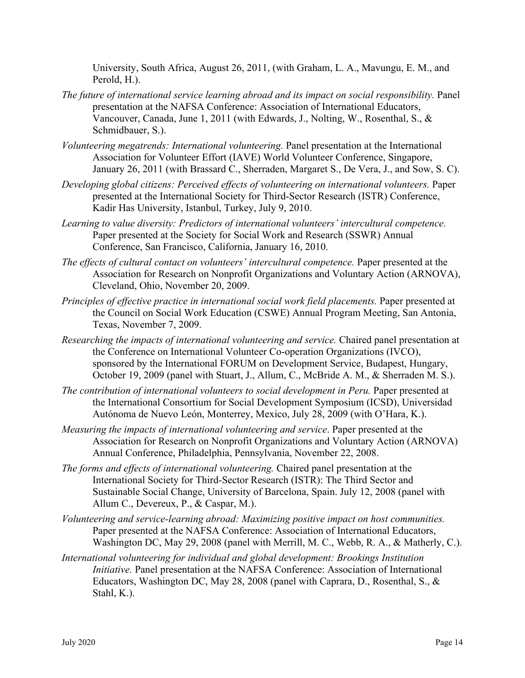University, South Africa, August 26, 2011, (with Graham, L. A., Mavungu, E. M., and Perold, H.).

- *The future of international service learning abroad and its impact on social responsibility.* Panel presentation at the NAFSA Conference: Association of International Educators, Vancouver, Canada, June 1, 2011 (with Edwards, J., Nolting, W., Rosenthal, S., & Schmidbauer, S.).
- *Volunteering megatrends: International volunteering.* Panel presentation at the International Association for Volunteer Effort (IAVE) World Volunteer Conference, Singapore, January 26, 2011 (with Brassard C., Sherraden, Margaret S., De Vera, J., and Sow, S. C).
- *Developing global citizens: Perceived effects of volunteering on international volunteers.* Paper presented at the International Society for Third-Sector Research (ISTR) Conference, Kadir Has University, Istanbul, Turkey, July 9, 2010.
- *Learning to value diversity: Predictors of international volunteers' intercultural competence.* Paper presented at the Society for Social Work and Research (SSWR) Annual Conference, San Francisco, California, January 16, 2010.
- *The effects of cultural contact on volunteers' intercultural competence.* Paper presented at the Association for Research on Nonprofit Organizations and Voluntary Action (ARNOVA), Cleveland, Ohio, November 20, 2009.
- *Principles of effective practice in international social work field placements.* Paper presented at the Council on Social Work Education (CSWE) Annual Program Meeting, San Antonia, Texas, November 7, 2009.
- *Researching the impacts of international volunteering and service.* Chaired panel presentation at the Conference on International Volunteer Co-operation Organizations (IVCO), sponsored by the International FORUM on Development Service, Budapest, Hungary, October 19, 2009 (panel with Stuart, J., Allum, C., McBride A. M., & Sherraden M. S.).
- *The contribution of international volunteers to social development in Peru.* Paper presented at the International Consortium for Social Development Symposium (ICSD), Universidad Autónoma de Nuevo León, Monterrey, Mexico, July 28, 2009 (with O'Hara, K.).
- *Measuring the impacts of international volunteering and service*. Paper presented at the Association for Research on Nonprofit Organizations and Voluntary Action (ARNOVA) Annual Conference, Philadelphia, Pennsylvania, November 22, 2008.
- *The forms and effects of international volunteering.* Chaired panel presentation at the International Society for Third-Sector Research (ISTR): The Third Sector and Sustainable Social Change, University of Barcelona, Spain. July 12, 2008 (panel with Allum C., Devereux, P., & Caspar, M.).
- *Volunteering and service-learning abroad: Maximizing positive impact on host communities.* Paper presented at the NAFSA Conference: Association of International Educators, Washington DC, May 29, 2008 (panel with Merrill, M. C., Webb, R. A., & Matherly, C.).
- *International volunteering for individual and global development: Brookings Institution Initiative.* Panel presentation at the NAFSA Conference: Association of International Educators, Washington DC, May 28, 2008 (panel with Caprara, D., Rosenthal, S., & Stahl, K.).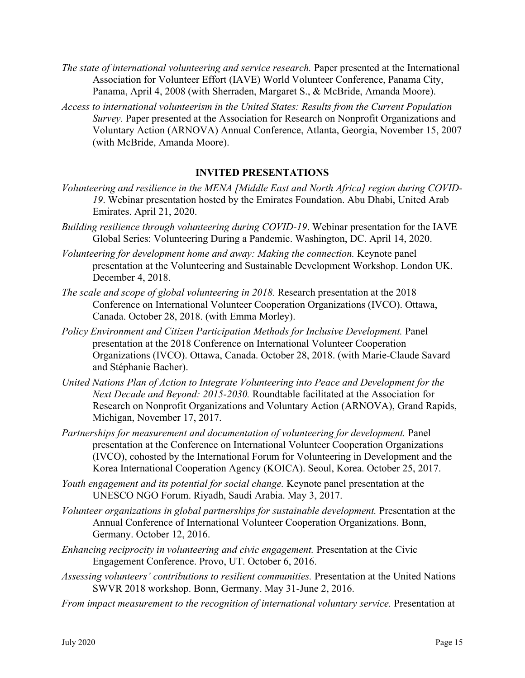- *The state of international volunteering and service research.* Paper presented at the International Association for Volunteer Effort (IAVE) World Volunteer Conference, Panama City, Panama, April 4, 2008 (with Sherraden, Margaret S., & McBride, Amanda Moore).
- *Access to international volunteerism in the United States: Results from the Current Population Survey.* Paper presented at the Association for Research on Nonprofit Organizations and Voluntary Action (ARNOVA) Annual Conference, Atlanta, Georgia, November 15, 2007 (with McBride, Amanda Moore).

## **INVITED PRESENTATIONS**

- *Volunteering and resilience in the MENA [Middle East and North Africa] region during COVID-19*. Webinar presentation hosted by the Emirates Foundation. Abu Dhabi, United Arab Emirates. April 21, 2020.
- *Building resilience through volunteering during COVID-19*. Webinar presentation for the IAVE Global Series: Volunteering During a Pandemic. Washington, DC. April 14, 2020.
- *Volunteering for development home and away: Making the connection.* Keynote panel presentation at the Volunteering and Sustainable Development Workshop. London UK. December 4, 2018.
- *The scale and scope of global volunteering in 2018.* Research presentation at the 2018 Conference on International Volunteer Cooperation Organizations (IVCO). Ottawa, Canada. October 28, 2018. (with Emma Morley).
- *Policy Environment and Citizen Participation Methods for Inclusive Development.* Panel presentation at the 2018 Conference on International Volunteer Cooperation Organizations (IVCO). Ottawa, Canada. October 28, 2018. (with Marie-Claude Savard and Stéphanie Bacher).
- *United Nations Plan of Action to Integrate Volunteering into Peace and Development for the Next Decade and Beyond: 2015-2030.* Roundtable facilitated at the Association for Research on Nonprofit Organizations and Voluntary Action (ARNOVA), Grand Rapids, Michigan, November 17, 2017.
- *Partnerships for measurement and documentation of volunteering for development.* Panel presentation at the Conference on International Volunteer Cooperation Organizations (IVCO), cohosted by the International Forum for Volunteering in Development and the Korea International Cooperation Agency (KOICA). Seoul, Korea. October 25, 2017.
- *Youth engagement and its potential for social change.* Keynote panel presentation at the UNESCO NGO Forum. Riyadh, Saudi Arabia. May 3, 2017.
- *Volunteer organizations in global partnerships for sustainable development.* Presentation at the Annual Conference of International Volunteer Cooperation Organizations. Bonn, Germany. October 12, 2016.
- *Enhancing reciprocity in volunteering and civic engagement.* Presentation at the Civic Engagement Conference. Provo, UT. October 6, 2016.
- *Assessing volunteers' contributions to resilient communities.* Presentation at the United Nations SWVR 2018 workshop. Bonn, Germany. May 31-June 2, 2016.
- *From impact measurement to the recognition of international voluntary service.* Presentation at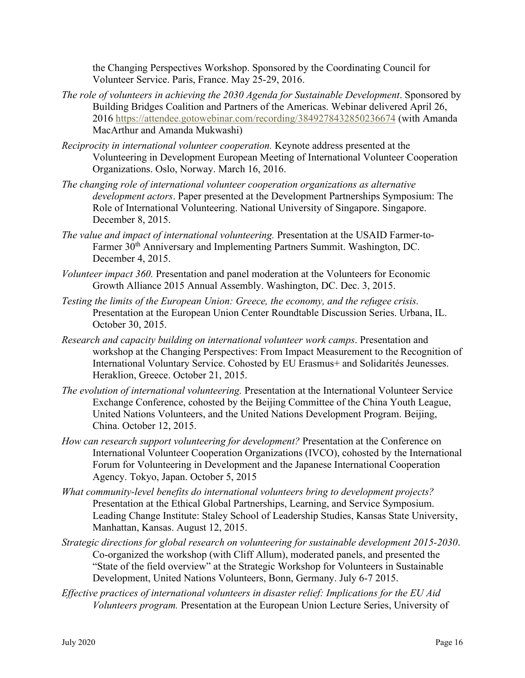the Changing Perspectives Workshop. Sponsored by the Coordinating Council for Volunteer Service. Paris, France. May 25-29, 2016.

- *The role of volunteers in achieving the 2030 Agenda for Sustainable Development*. Sponsored by Building Bridges Coalition and Partners of the Americas. Webinar delivered April 26, 2016 <https://attendee.gotowebinar.com/recording/3849278432850236674> (with Amanda MacArthur and Amanda Mukwashi)
- *Reciprocity in international volunteer cooperation.* Keynote address presented at the Volunteering in Development European Meeting of International Volunteer Cooperation Organizations. Oslo, Norway. March 16, 2016.
- *The changing role of international volunteer cooperation organizations as alternative development actors*. Paper presented at the Development Partnerships Symposium: The Role of International Volunteering. National University of Singapore. Singapore. December 8, 2015.
- *The value and impact of international volunteering.* Presentation at the USAID Farmer-to-Farmer 30<sup>th</sup> Anniversary and Implementing Partners Summit. Washington, DC. December 4, 2015.
- *Volunteer impact 360.* Presentation and panel moderation at the Volunteers for Economic Growth Alliance 2015 Annual Assembly. Washington, DC. Dec. 3, 2015.
- *Testing the limits of the European Union: Greece, the economy, and the refugee crisis.*  Presentation at the European Union Center Roundtable Discussion Series. Urbana, IL. October 30, 2015.
- *Research and capacity building on international volunteer work camps*. Presentation and workshop at the Changing Perspectives: From Impact Measurement to the Recognition of International Voluntary Service. Cohosted by EU Erasmus+ and Solidarités Jeunesses. Heraklion, Greece. October 21, 2015.
- *The evolution of international volunteering.* Presentation at the International Volunteer Service Exchange Conference, cohosted by the Beijing Committee of the China Youth League, United Nations Volunteers, and the United Nations Development Program. Beijing, China. October 12, 2015.
- *How can research support volunteering for development?* Presentation at the Conference on International Volunteer Cooperation Organizations (IVCO), cohosted by the International Forum for Volunteering in Development and the Japanese International Cooperation Agency. Tokyo, Japan. October 5, 2015
- *What community-level benefits do international volunteers bring to development projects?* Presentation at the Ethical Global Partnerships, Learning, and Service Symposium. Leading Change Institute: Staley School of Leadership Studies, Kansas State University, Manhattan, Kansas. August 12, 2015.
- *Strategic directions for global research on volunteering for sustainable development 2015-2030*. Co-organized the workshop (with Cliff Allum), moderated panels, and presented the "State of the field overview" at the Strategic Workshop for Volunteers in Sustainable Development, United Nations Volunteers, Bonn, Germany. July 6-7 2015.
- *Effective practices of international volunteers in disaster relief: Implications for the EU Aid Volunteers program.* Presentation at the European Union Lecture Series, University of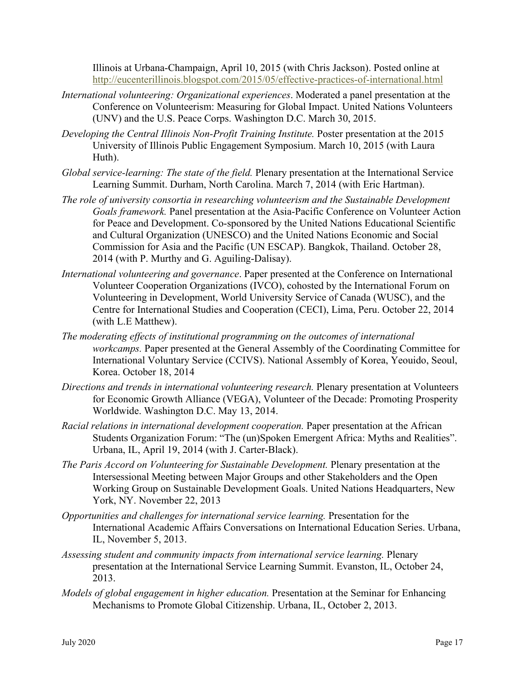Illinois at Urbana-Champaign, April 10, 2015 (with Chris Jackson). Posted online at <http://eucenterillinois.blogspot.com/2015/05/effective-practices-of-international.html>

- *International volunteering: Organizational experiences*. Moderated a panel presentation at the Conference on Volunteerism: Measuring for Global Impact. United Nations Volunteers (UNV) and the U.S. Peace Corps. Washington D.C. March 30, 2015.
- *Developing the Central Illinois Non-Profit Training Institute.* Poster presentation at the 2015 University of Illinois Public Engagement Symposium. March 10, 2015 (with Laura Huth).
- *Global service-learning: The state of the field.* Plenary presentation at the International Service Learning Summit. Durham, North Carolina. March 7, 2014 (with Eric Hartman).
- *The role of university consortia in researching volunteerism and the Sustainable Development Goals framework.* Panel presentation at the Asia-Pacific Conference on Volunteer Action for Peace and Development. Co-sponsored by the United Nations Educational Scientific and Cultural Organization (UNESCO) and the United Nations Economic and Social Commission for Asia and the Pacific (UN ESCAP). Bangkok, Thailand. October 28, 2014 (with P. Murthy and G. Aguiling-Dalisay).
- *International volunteering and governance*. Paper presented at the Conference on International Volunteer Cooperation Organizations (IVCO), cohosted by the International Forum on Volunteering in Development, World University Service of Canada (WUSC), and the Centre for International Studies and Cooperation (CECI), Lima, Peru. October 22, 2014 (with L.E Matthew).
- *The moderating effects of institutional programming on the outcomes of international workcamps.* Paper presented at the General Assembly of the Coordinating Committee for International Voluntary Service (CCIVS). National Assembly of Korea, Yeouido, Seoul, Korea. October 18, 2014
- *Directions and trends in international volunteering research.* Plenary presentation at Volunteers for Economic Growth Alliance (VEGA), Volunteer of the Decade: Promoting Prosperity Worldwide. Washington D.C. May 13, 2014.
- *Racial relations in international development cooperation.* Paper presentation at the African Students Organization Forum: "The (un)Spoken Emergent Africa: Myths and Realities". Urbana, IL, April 19, 2014 (with J. Carter-Black).
- *The Paris Accord on Volunteering for Sustainable Development.* Plenary presentation at the Intersessional Meeting between Major Groups and other Stakeholders and the Open Working Group on Sustainable Development Goals. United Nations Headquarters, New York, NY. November 22, 2013
- *Opportunities and challenges for international service learning.* Presentation for the International Academic Affairs Conversations on International Education Series. Urbana, IL, November 5, 2013.
- *Assessing student and community impacts from international service learning.* Plenary presentation at the International Service Learning Summit. Evanston, IL, October 24, 2013.
- *Models of global engagement in higher education.* Presentation at the Seminar for Enhancing Mechanisms to Promote Global Citizenship. Urbana, IL, October 2, 2013.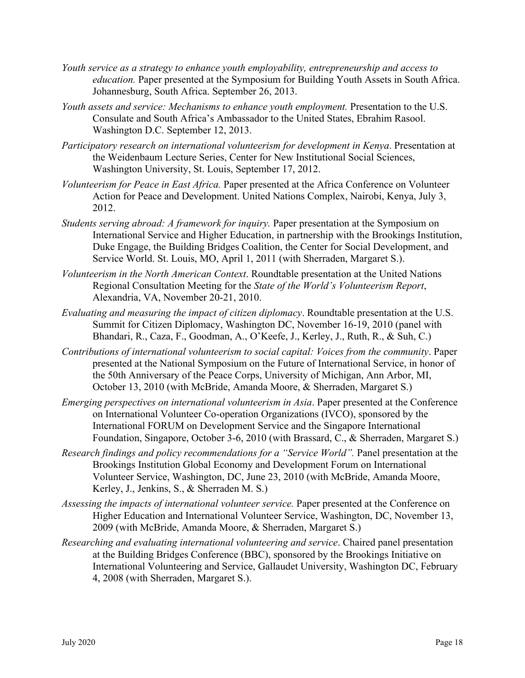- *Youth service as a strategy to enhance youth employability, entrepreneurship and access to education*. Paper presented at the Symposium for Building Youth Assets in South Africa. Johannesburg, South Africa. September 26, 2013.
- *Youth assets and service: Mechanisms to enhance youth employment.* Presentation to the U.S. Consulate and South Africa's Ambassador to the United States, Ebrahim Rasool. Washington D.C. September 12, 2013.
- *Participatory research on international volunteerism for development in Kenya*. Presentation at the Weidenbaum Lecture Series, Center for New Institutional Social Sciences, Washington University, St. Louis, September 17, 2012.
- *Volunteerism for Peace in East Africa.* Paper presented at the Africa Conference on Volunteer Action for Peace and Development. United Nations Complex, Nairobi, Kenya, July 3, 2012.
- *Students serving abroad: A framework for inquiry.* Paper presentation at the Symposium on International Service and Higher Education, in partnership with the Brookings Institution, Duke Engage, the Building Bridges Coalition, the Center for Social Development, and Service World. St. Louis, MO, April 1, 2011 (with Sherraden, Margaret S.).
- *Volunteerism in the North American Context*. Roundtable presentation at the United Nations Regional Consultation Meeting for the *State of the World's Volunteerism Report*, Alexandria, VA, November 20-21, 2010.
- *Evaluating and measuring the impact of citizen diplomacy*. Roundtable presentation at the U.S. Summit for Citizen Diplomacy, Washington DC, November 16-19, 2010 (panel with Bhandari, R., Caza, F., Goodman, A., O'Keefe, J., Kerley, J., Ruth, R., & Suh, C.)
- *Contributions of international volunteerism to social capital: Voices from the community*. Paper presented at the National Symposium on the Future of International Service, in honor of the 50th Anniversary of the Peace Corps, University of Michigan, Ann Arbor, MI, October 13, 2010 (with McBride, Amanda Moore, & Sherraden, Margaret S.)
- *Emerging perspectives on international volunteerism in Asia*. Paper presented at the Conference on International Volunteer Co-operation Organizations (IVCO), sponsored by the International FORUM on Development Service and the Singapore International Foundation, Singapore, October 3-6, 2010 (with Brassard, C., & Sherraden, Margaret S.)
- *Research findings and policy recommendations for a "Service World".* Panel presentation at the Brookings Institution Global Economy and Development Forum on International Volunteer Service, Washington, DC, June 23, 2010 (with McBride, Amanda Moore, Kerley, J., Jenkins, S., & Sherraden M. S.)
- *Assessing the impacts of international volunteer service.* Paper presented at the Conference on Higher Education and International Volunteer Service, Washington, DC, November 13, 2009 (with McBride, Amanda Moore, & Sherraden, Margaret S.)
- *Researching and evaluating international volunteering and service*. Chaired panel presentation at the Building Bridges Conference (BBC), sponsored by the Brookings Initiative on International Volunteering and Service, Gallaudet University, Washington DC, February 4, 2008 (with Sherraden, Margaret S.).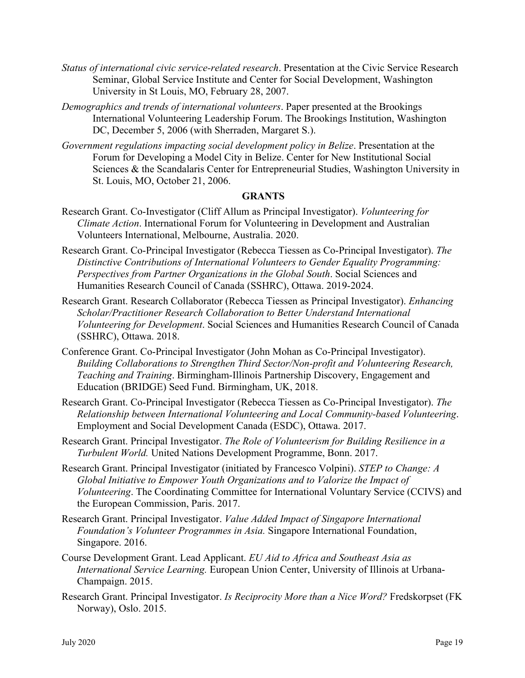- *Status of international civic service-related research*. Presentation at the Civic Service Research Seminar, Global Service Institute and Center for Social Development, Washington University in St Louis, MO, February 28, 2007.
- *Demographics and trends of international volunteers*. Paper presented at the Brookings International Volunteering Leadership Forum. The Brookings Institution, Washington DC, December 5, 2006 (with Sherraden, Margaret S.).
- *Government regulations impacting social development policy in Belize*. Presentation at the Forum for Developing a Model City in Belize. Center for New Institutional Social Sciences & the Scandalaris Center for Entrepreneurial Studies, Washington University in St. Louis, MO, October 21, 2006.

## **GRANTS**

- Research Grant. Co-Investigator (Cliff Allum as Principal Investigator). *Volunteering for Climate Action*. International Forum for Volunteering in Development and Australian Volunteers International, Melbourne, Australia. 2020.
- Research Grant. Co-Principal Investigator (Rebecca Tiessen as Co-Principal Investigator). *The Distinctive Contributions of International Volunteers to Gender Equality Programming: Perspectives from Partner Organizations in the Global South*. Social Sciences and Humanities Research Council of Canada (SSHRC), Ottawa. 2019-2024.
- Research Grant. Research Collaborator (Rebecca Tiessen as Principal Investigator). *Enhancing Scholar/Practitioner Research Collaboration to Better Understand International Volunteering for Development*. Social Sciences and Humanities Research Council of Canada (SSHRC), Ottawa. 2018.
- Conference Grant. Co-Principal Investigator (John Mohan as Co-Principal Investigator). *Building Collaborations to Strengthen Third Sector/Non-profit and Volunteering Research, Teaching and Training*. Birmingham-Illinois Partnership Discovery, Engagement and Education (BRIDGE) Seed Fund. Birmingham, UK, 2018.
- Research Grant. Co-Principal Investigator (Rebecca Tiessen as Co-Principal Investigator). *The Relationship between International Volunteering and Local Community-based Volunteering*. Employment and Social Development Canada (ESDC), Ottawa. 2017.
- Research Grant. Principal Investigator. *The Role of Volunteerism for Building Resilience in a Turbulent World.* United Nations Development Programme, Bonn. 2017.
- Research Grant. Principal Investigator (initiated by Francesco Volpini). *STEP to Change: A Global Initiative to Empower Youth Organizations and to Valorize the Impact of Volunteering*. The Coordinating Committee for International Voluntary Service (CCIVS) and the European Commission, Paris. 2017.
- Research Grant. Principal Investigator. *Value Added Impact of Singapore International Foundation's Volunteer Programmes in Asia.* Singapore International Foundation, Singapore. 2016.
- Course Development Grant. Lead Applicant. *EU Aid to Africa and Southeast Asia as International Service Learning.* European Union Center, University of Illinois at Urbana-Champaign. 2015.
- Research Grant. Principal Investigator. *Is Reciprocity More than a Nice Word?* Fredskorpset (FK Norway), Oslo. 2015.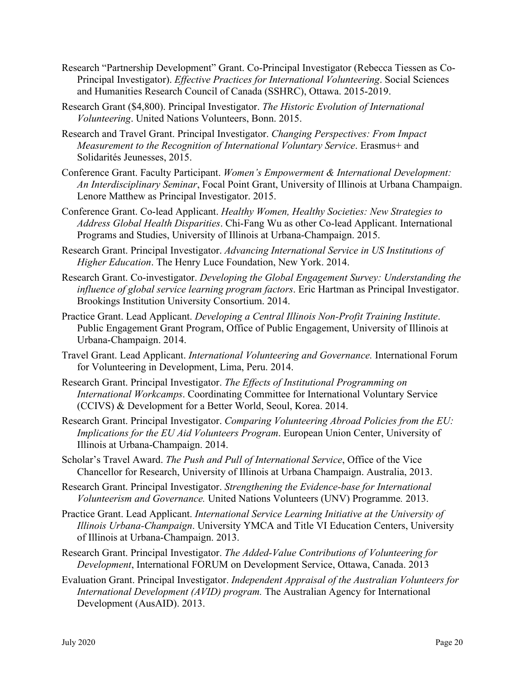- Research "Partnership Development" Grant. Co-Principal Investigator (Rebecca Tiessen as Co-Principal Investigator). *Effective Practices for International Volunteering*. Social Sciences and Humanities Research Council of Canada (SSHRC), Ottawa. 2015-2019.
- Research Grant (\$4,800). Principal Investigator. *The Historic Evolution of International Volunteering*. United Nations Volunteers, Bonn. 2015.
- Research and Travel Grant. Principal Investigator. *Changing Perspectives: From Impact Measurement to the Recognition of International Voluntary Service*. Erasmus+ and Solidarités Jeunesses, 2015.
- Conference Grant. Faculty Participant. *Women's Empowerment & International Development: An Interdisciplinary Seminar*, Focal Point Grant, University of Illinois at Urbana Champaign. Lenore Matthew as Principal Investigator. 2015.
- Conference Grant. Co-lead Applicant. *Healthy Women, Healthy Societies: New Strategies to Address Global Health Disparities*. Chi-Fang Wu as other Co-lead Applicant. International Programs and Studies, University of Illinois at Urbana-Champaign. 2015.
- Research Grant. Principal Investigator. *Advancing International Service in US Institutions of Higher Education*. The Henry Luce Foundation, New York. 2014.
- Research Grant. Co-investigator. *Developing the Global Engagement Survey: Understanding the influence of global service learning program factors*. Eric Hartman as Principal Investigator. Brookings Institution University Consortium. 2014.
- Practice Grant. Lead Applicant. *Developing a Central Illinois Non-Profit Training Institute*. Public Engagement Grant Program, Office of Public Engagement, University of Illinois at Urbana-Champaign. 2014.
- Travel Grant. Lead Applicant. *International Volunteering and Governance.* International Forum for Volunteering in Development, Lima, Peru. 2014.
- Research Grant. Principal Investigator. *The Effects of Institutional Programming on International Workcamps*. Coordinating Committee for International Voluntary Service (CCIVS) & Development for a Better World, Seoul, Korea. 2014.
- Research Grant. Principal Investigator. *Comparing Volunteering Abroad Policies from the EU: Implications for the EU Aid Volunteers Program*. European Union Center, University of Illinois at Urbana-Champaign. 2014.
- Scholar's Travel Award. *The Push and Pull of International Service*, Office of the Vice Chancellor for Research, University of Illinois at Urbana Champaign. Australia, 2013.
- Research Grant. Principal Investigator. *Strengthening the Evidence-base for International Volunteerism and Governance.* United Nations Volunteers (UNV) Programme*.* 2013.
- Practice Grant. Lead Applicant. *International Service Learning Initiative at the University of Illinois Urbana-Champaign*. University YMCA and Title VI Education Centers, University of Illinois at Urbana-Champaign. 2013.
- Research Grant. Principal Investigator. *The Added-Value Contributions of Volunteering for Development*, International FORUM on Development Service, Ottawa, Canada. 2013
- Evaluation Grant. Principal Investigator. *Independent Appraisal of the Australian Volunteers for International Development (AVID) program.* The Australian Agency for International Development (AusAID). 2013.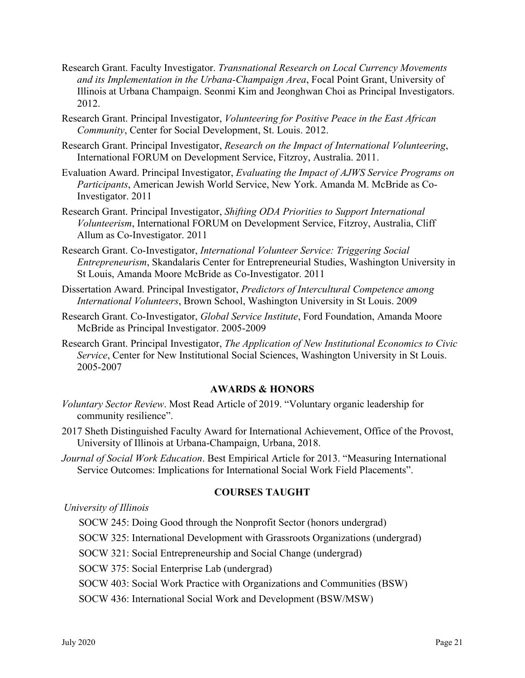- Research Grant. Faculty Investigator. *Transnational Research on Local Currency Movements and its Implementation in the Urbana-Champaign Area*, Focal Point Grant, University of Illinois at Urbana Champaign. Seonmi Kim and Jeonghwan Choi as Principal Investigators. 2012.
- Research Grant. Principal Investigator, *Volunteering for Positive Peace in the East African Community*, Center for Social Development, St. Louis. 2012.
- Research Grant. Principal Investigator, *Research on the Impact of International Volunteering*, International FORUM on Development Service, Fitzroy, Australia. 2011.
- Evaluation Award. Principal Investigator, *Evaluating the Impact of AJWS Service Programs on Participants*, American Jewish World Service, New York. Amanda M. McBride as Co-Investigator. 2011
- Research Grant. Principal Investigator, *Shifting ODA Priorities to Support International Volunteerism*, International FORUM on Development Service, Fitzroy, Australia, Cliff Allum as Co-Investigator. 2011
- Research Grant. Co-Investigator, *International Volunteer Service: Triggering Social Entrepreneurism*, Skandalaris Center for Entrepreneurial Studies, Washington University in St Louis, Amanda Moore McBride as Co-Investigator. 2011
- Dissertation Award. Principal Investigator, *Predictors of Intercultural Competence among International Volunteers*, Brown School, Washington University in St Louis. 2009
- Research Grant. Co-Investigator, *Global Service Institute*, Ford Foundation, Amanda Moore McBride as Principal Investigator. 2005-2009
- Research Grant. Principal Investigator, *The Application of New Institutional Economics to Civic Service*, Center for New Institutional Social Sciences, Washington University in St Louis. 2005-2007

## **AWARDS & HONORS**

- *Voluntary Sector Review*. Most Read Article of 2019. "Voluntary organic leadership for community resilience".
- 2017 Sheth Distinguished Faculty Award for International Achievement, Office of the Provost, University of Illinois at Urbana-Champaign, Urbana, 2018.
- *Journal of Social Work Education*. Best Empirical Article for 2013. "Measuring International Service Outcomes: Implications for International Social Work Field Placements".

#### **COURSES TAUGHT**

*University of Illinois*

SOCW 245: Doing Good through the Nonprofit Sector (honors undergrad)

SOCW 325: International Development with Grassroots Organizations (undergrad)

SOCW 321: Social Entrepreneurship and Social Change (undergrad)

SOCW 375: Social Enterprise Lab (undergrad)

SOCW 403: Social Work Practice with Organizations and Communities (BSW)

SOCW 436: International Social Work and Development (BSW/MSW)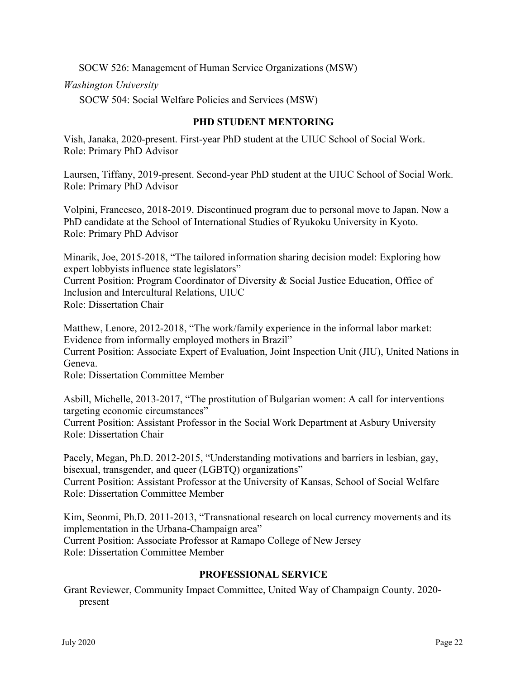SOCW 526: Management of Human Service Organizations (MSW)

*Washington University*

SOCW 504: Social Welfare Policies and Services (MSW)

## **PHD STUDENT MENTORING**

Vish, Janaka, 2020-present. First-year PhD student at the UIUC School of Social Work. Role: Primary PhD Advisor

Laursen, Tiffany, 2019-present. Second-year PhD student at the UIUC School of Social Work. Role: Primary PhD Advisor

Volpini, Francesco, 2018-2019. Discontinued program due to personal move to Japan. Now a PhD candidate at the School of International Studies of Ryukoku University in Kyoto. Role: Primary PhD Advisor

Minarik, Joe, 2015-2018, "The tailored information sharing decision model: Exploring how expert lobbyists influence state legislators" Current Position: Program Coordinator of Diversity & Social Justice Education, Office of Inclusion and Intercultural Relations, UIUC Role: Dissertation Chair

Matthew, Lenore, 2012-2018, "The work/family experience in the informal labor market: Evidence from informally employed mothers in Brazil" Current Position: Associate Expert of Evaluation, Joint Inspection Unit (JIU), United Nations in Geneva. Role: Dissertation Committee Member

Asbill, Michelle, 2013-2017, "The prostitution of Bulgarian women: A call for interventions targeting economic circumstances" Current Position: Assistant Professor in the Social Work Department at Asbury University Role: Dissertation Chair

Pacely, Megan, Ph.D. 2012-2015, "Understanding motivations and barriers in lesbian, gay, bisexual, transgender, and queer (LGBTQ) organizations" Current Position: Assistant Professor at the University of Kansas, School of Social Welfare Role: Dissertation Committee Member

Kim, Seonmi, Ph.D. 2011-2013, "Transnational research on local currency movements and its implementation in the Urbana-Champaign area" Current Position: Associate Professor at Ramapo College of New Jersey Role: Dissertation Committee Member

## **PROFESSIONAL SERVICE**

Grant Reviewer, Community Impact Committee, United Way of Champaign County. 2020 present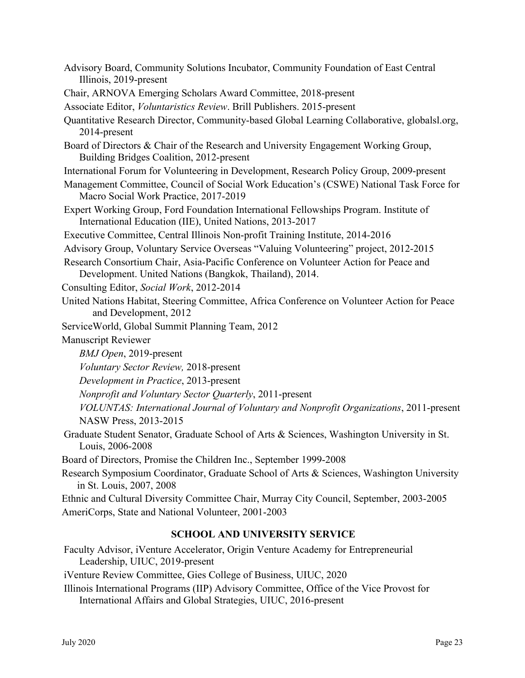- Advisory Board, Community Solutions Incubator, Community Foundation of East Central Illinois, 2019-present
- Chair, ARNOVA Emerging Scholars Award Committee, 2018-present

Associate Editor, *Voluntaristics Review*. Brill Publishers. 2015-present

Quantitative Research Director, Community-based Global Learning Collaborative, globalsl.org, 2014-present

- Board of Directors & Chair of the Research and University Engagement Working Group, Building Bridges Coalition, 2012-present
- International Forum for Volunteering in Development, Research Policy Group, 2009-present
- Management Committee, Council of Social Work Education's (CSWE) National Task Force for Macro Social Work Practice, 2017-2019
- Expert Working Group, Ford Foundation International Fellowships Program. Institute of International Education (IIE), United Nations, 2013-2017

Executive Committee, Central Illinois Non-profit Training Institute, 2014-2016

Advisory Group, Voluntary Service Overseas "Valuing Volunteering" project, 2012-2015

- Research Consortium Chair, Asia-Pacific Conference on Volunteer Action for Peace and Development. United Nations (Bangkok, Thailand), 2014.
- Consulting Editor, *Social Work*, 2012-2014
- United Nations Habitat, Steering Committee, Africa Conference on Volunteer Action for Peace and Development, 2012
- ServiceWorld, Global Summit Planning Team, 2012

Manuscript Reviewer

*BMJ Open*, 2019-present

*Voluntary Sector Review,* 2018-present

*Development in Practice*, 2013-present

*Nonprofit and Voluntary Sector Quarterly*, 2011-present

*VOLUNTAS: International Journal of Voluntary and Nonprofit Organizations*, 2011-present NASW Press, 2013-2015

Graduate Student Senator, Graduate School of Arts & Sciences, Washington University in St. Louis, 2006-2008

Board of Directors, Promise the Children Inc., September 1999-2008

Research Symposium Coordinator, Graduate School of Arts & Sciences, Washington University in St. Louis, 2007, 2008

Ethnic and Cultural Diversity Committee Chair, Murray City Council, September, 2003-2005 AmeriCorps, State and National Volunteer, 2001-2003

## **SCHOOL AND UNIVERSITY SERVICE**

Faculty Advisor, iVenture Accelerator, Origin Venture Academy for Entrepreneurial Leadership, UIUC, 2019-present

iVenture Review Committee, Gies College of Business, UIUC, 2020

Illinois International Programs (IIP) Advisory Committee, Office of the Vice Provost for International Affairs and Global Strategies, UIUC, 2016-present